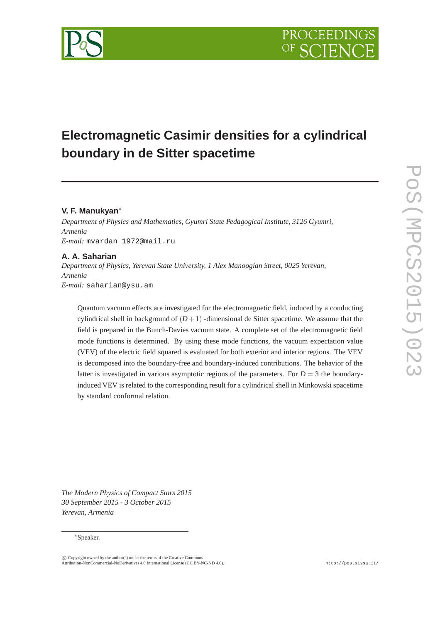# **Electromagnetic Casimir densities for a cylindrical boundary in de Sitter spacetime**

# **V. F. Manukyan**<sup>∗</sup>

*Department of Physics and Mathematics, Gyumri State Pedagogical Institute, 3126 Gyumri, Armenia E-mail:* mvardan\_1972@mail.ru

## **A. A. Saharian**

*Department of Physics, Yerevan State University, 1 Alex Manoogian Street, 0025 Yerevan, Armenia E-mail:* saharian@ysu.am

Quantum vacuum effects are investigated for the electromagnetic field, induced by a conducting cylindrical shell in background of  $(D+1)$  -dimensional de Sitter spacetime. We assume that the field is prepared in the Bunch-Davies vacuum state. A complete set of the electromagnetic field mode functions is determined. By using these mode functions, the vacuum expectation value (VEV) of the electric field squared is evaluated for both exterior and interior regions. The VEV is decomposed into the boundary-free and boundary-induced contributions. The behavior of the latter is investigated in various asymptotic regions of the parameters. For  $D = 3$  the boundaryinduced VEV is related to the corresponding result for a cylindrical shell in Minkowski spacetime by standard conformal relation.

*The Modern Physics of Compact Stars 2015 30 September 2015 - 3 October 2015 Yerevan, Armenia*

#### <sup>∗</sup>Speaker.

 $\overline{c}$  Copyright owned by the author(s) under the terms of the Creative Commons Attribution-NonCommercial-NoDerivatives 4.0 International License (CC BY-NC-ND 4.0). http://pos.sissa.it/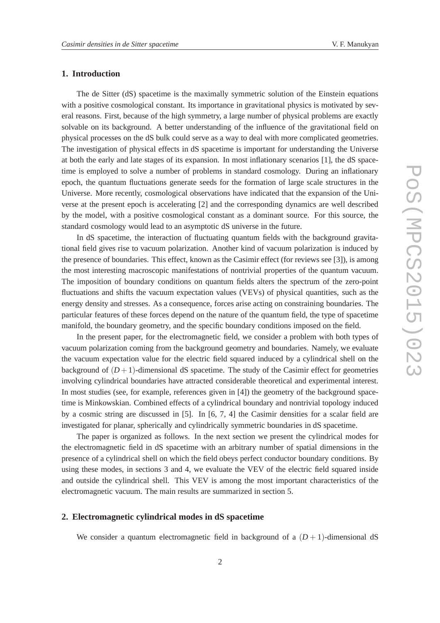#### **1. Introduction**

The de Sitter (dS) spacetime is the maximally symmetric solution of the Einstein equations with a positive cosmological constant. Its importance in gravitational physics is motivated by several reasons. First, because of the high symmetry, a large number of physical problems are exactly solvable on its background. A better understanding of the influence of the gravitational field on physical processes on the dS bulk could serve as a way to deal with more complicated geometries. The investigation of physical effects in dS spacetime is important for understanding the Universe at both the early and late stages of its expansion. In most inflationary scenarios [1], the dS spacetime is employed to solve a number of problems in standard cosmology. During an inflationary epoch, the quantum fluctuations generate seeds for the formation of large scale structures in the Universe. More recently, cosmological observations have indicated that the expansion of the Universe at the present epoch is accelerating [2] and the corresponding dynamics are well described by the model, with a positive cosmological constant as a dominant source. For this source, the standard cosmology would lead to an asymptotic dS universe in the future.

In dS spacetime, the interaction of fluctuating quantum fields with the background gravitational field gives rise to vacuum polarization. Another kind of vacuum polarization is induced by the presence of boundaries. This effect, known as the Casimir effect (for reviews see [3]), is among the most interesting macroscopic manifestations of nontrivial properties of the quantum vacuum. The imposition of boundary conditions on quantum fields alters the spectrum of the zero-point fluctuations and shifts the vacuum expectation values (VEVs) of physical quantities, such as the energy density and stresses. As a consequence, forces arise acting on constraining boundaries. The particular features of these forces depend on the nature of the quantum field, the type of spacetime manifold, the boundary geometry, and the specific boundary conditions imposed on the field.

In the present paper, for the electromagnetic field, we consider a problem with both types of vacuum polarization coming from the background geometry and boundaries. Namely, we evaluate the vacuum expectation value for the electric field squared induced by a cylindrical shell on the background of  $(D+1)$ -dimensional dS spacetime. The study of the Casimir effect for geometries involving cylindrical boundaries have attracted considerable theoretical and experimental interest. In most studies (see, for example, references given in [4]) the geometry of the background spacetime is Minkowskian. Combined effects of a cylindrical boundary and nontrivial topology induced by a cosmic string are discussed in [5]. In [6, 7, 4] the Casimir densities for a scalar field are investigated for planar, spherically and cylindrically symmetric boundaries in dS spacetime.

The paper is organized as follows. In the next section we present the cylindrical modes for the electromagnetic field in dS spacetime with an arbitrary number of spatial dimensions in the presence of a cylindrical shell on which the field obeys perfect conductor boundary conditions. By using these modes, in sections 3 and 4, we evaluate the VEV of the electric field squared inside and outside the cylindrical shell. This VEV is among the most important characteristics of the electromagnetic vacuum. The main results are summarized in section 5.

#### **2. Electromagnetic cylindrical modes in dS spacetime**

We consider a quantum electromagnetic field in background of a  $(D+1)$ -dimensional dS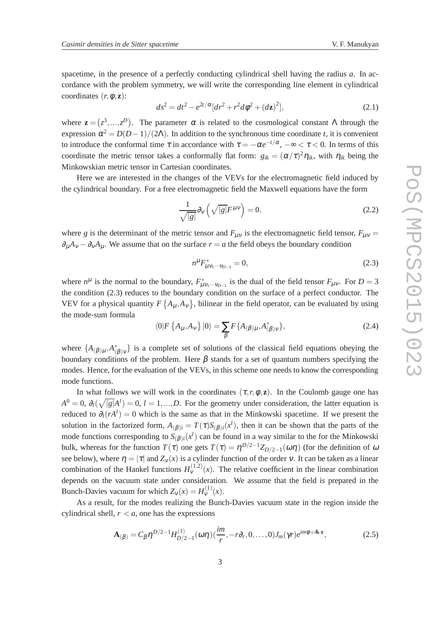spacetime, in the presence of a perfectly conducting cylindrical shell having the radius *a*. In accordance with the problem symmetry, we will write the corresponding line element in cylindrical coordinates  $(r, \phi, z)$ :

$$
ds^{2} = dt^{2} - e^{2t/\alpha} [dr^{2} + r^{2} d\phi^{2} + (d\mathbf{z})^{2}],
$$
\n(2.1)

where  $\mathbf{z} = (z^3, ..., z^D)$ . The parameter  $\alpha$  is related to the cosmological constant  $\Lambda$  through the expression  $\alpha^2 = D(D-1)/(2\Lambda)$ . In addition to the synchronous time coordinate *t*, it is convenient to introduce the conformal time  $\tau$  in accordance with  $\tau = -\alpha e^{-t/\alpha}$ ,  $-\infty < \tau < 0$ . In terms of this coordinate the metric tensor takes a conformally flat form:  $g_{ik} = (\alpha/\tau)^2 \eta_{ik}$ , with  $\eta_{ik}$  being the Minkowskian metric tensor in Cartesian coordinates.

Here we are interested in the changes of the VEVs for the electromagnetic field induced by the cylindrical boundary. For a free electromagnetic field the Maxwell equations have the form

$$
\frac{1}{\sqrt{|g|}}\partial_v\left(\sqrt{|g|}F^{\mu\nu}\right) = 0,\tag{2.2}
$$

where *g* is the determinant of the metric tensor and  $F_{\mu\nu}$  is the electromagnetic field tensor,  $F_{\mu\nu}$  =  $\partial_{\mu}A_{\nu} - \partial_{\nu}A_{\mu}$ . We assume that on the surface  $r = a$  the field obeys the boundary condition

$$
n^{\mu} F_{\mu \nu_1 \cdots \nu_{D-1}}^* = 0, \tag{2.3}
$$

where  $n^{\mu}$  is the normal to the boundary,  $F_{\mu\nu_1\cdots\nu_{D-1}}^*$  is the dual of the field tensor  $F_{\mu\nu}$ . For  $D=3$ the condition (2.3) reduces to the boundary condition on the surface of a perfect conductor. The VEV for a physical quantity  $F\left\{A_{\mu},A_{\nu}\right\}$ , bilinear in the field operator, can be evaluated by using the mode-sum formula

$$
\langle 0|F\left\{A_{\mu},A_{\nu}\right\}|0\rangle = \sum_{\beta} F\{A_{(\beta)\mu},A_{(\beta)\nu}^{*}\},\tag{2.4}
$$

where  $\{A_{(\beta)\mu}, A^*_{(\beta)\nu}\}\$ is a complete set of solutions of the classical field equations obeying the boundary conditions of the problem. Here  $\beta$  stands for a set of quantum numbers specifying the modes. Hence, for the evaluation of the VEVs, in this scheme one needs to know the corresponding mode functions.

In what follows we will work in the coordinates  $(\tau, r, \phi, z)$ . In the Coulomb gauge one has  $A^0 = 0$ ,  $\partial_l(\sqrt{|g|}A^l) = 0$ ,  $l = 1, ..., D$ . For the geometry under consideration, the latter equation is reduced to  $\partial_l(rA^l) = 0$  which is the same as that in the Minkowski spacetime. If we present the solution in the factorized form,  $A_{(\beta)i} = T(\tau)S_{(\beta)i}(x^l)$ , then it can be shown that the parts of the mode functions corresponding to  $S_{(\beta)i}(x^l)$  can be found in a way similar to the for the Minkowski bulk, whereas for the function  $T(\tau)$  one gets  $T(\tau) = \eta^{D/2-1} Z_{D/2-1}(\omega \eta)$  (for the definition of  $\omega$ see below), where  $\eta = |\tau|$  and  $Z_{\nu}(x)$  is a cylinder function of the order v. It can be taken as a linear combination of the Hankel functions  $H_{\nu}^{(1,2)}(x)$ . The relative coefficient in the linear combination depends on the vacuum state under consideration. We assume that the field is prepared in the Bunch-Davies vacuum for which  $Z_v(x) = H_v^{(1)}(x)$ .

As a result, for the modes realizing the Bunch-Davies vacuum state in the region inside the cylindrical shell,  $r < a$ , one has the expressions

$$
\mathbf{A}_{(\beta)} = C_{\beta} \eta^{D/2 - 1} H_{D/2 - 1}^{(1)}(\omega \eta) (\frac{im}{r}, -r\partial_r, 0, \dots, 0) J_m(\gamma r) e^{im\phi + i\mathbf{k} \cdot \mathbf{z}},
$$
(2.5)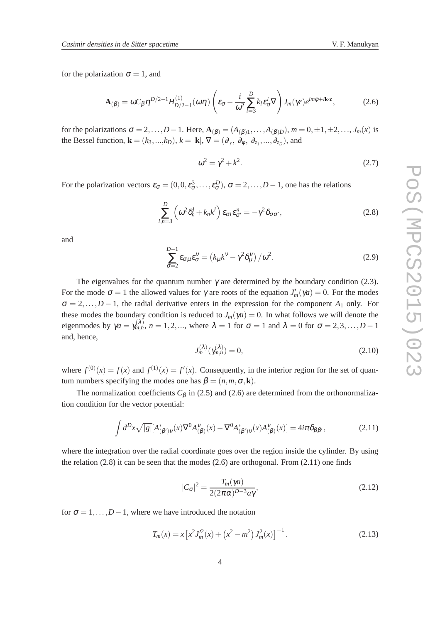for the polarization  $\sigma = 1$ , and

$$
\mathbf{A}_{(\beta)} = \omega C_{\beta} \eta^{D/2 - 1} H_{D/2 - 1}^{(1)}(\omega \eta) \left( \varepsilon_{\sigma} - \frac{i}{\omega^2} \sum_{l=3}^{D} k_l \varepsilon_{\sigma}^l \nabla \right) J_m(\gamma r) e^{im\phi + i\mathbf{k} \cdot \mathbf{z}},\tag{2.6}
$$

for the polarizations  $\sigma = 2, \ldots, D-1$ . Here,  $\mathbf{A}_{(\beta)} = (A_{(\beta)1}, \ldots, A_{(\beta)D})$ ,  $m = 0, \pm 1, \pm 2, \ldots, J_m(x)$  is the Bessel function,  $\mathbf{k} = (k_3, ..., k_D)$ ,  $k = |\mathbf{k}|$ ,  $\nabla = (\partial_r, \partial_\phi, \partial_{z_1}, ..., \partial_{z_D})$ , and

$$
\omega^2 = \gamma^2 + k^2. \tag{2.7}
$$

For the polarization vectors  $\varepsilon_{\sigma} = (0, 0, \varepsilon_{\sigma}^3, \dots, \varepsilon_{\sigma}^D), \sigma = 2, \dots, D-1$ , one has the relations

$$
\sum_{l,n=3}^{D} \left( \omega^2 \delta_n^l + k_n k^l \right) \varepsilon_{\sigma l} \varepsilon_{\sigma'}^n = -\gamma^2 \delta_{\sigma \sigma'}, \tag{2.8}
$$

and

$$
\sum_{\sigma=2}^{D-1} \varepsilon_{\sigma\mu} \varepsilon_{\sigma}^{\nu} = \left(k_{\mu}k^{\nu} - \gamma^2 \delta_{\mu}^{\nu}\right)/\omega^2.
$$
 (2.9)

The eigenvalues for the quantum number  $\gamma$  are determined by the boundary condition (2.3). For the mode  $\sigma = 1$  the allowed values for  $\gamma$  are roots of the equation  $J'_m(\gamma a) = 0$ . For the modes  $\sigma = 2,...,D-1$ , the radial derivative enters in the expression for the component  $A_1$  only. For these modes the boundary condition is reduced to  $J_m(\gamma a) = 0$ . In what follows we will denote the eigenmodes by  $\gamma a = \gamma_{m,n}^{(\lambda)}$ ,  $n = 1, 2, ...$ , where  $\lambda = 1$  for  $\sigma = 1$  and  $\lambda = 0$  for  $\sigma = 2, 3, ...$ ,  $D - 1$ and, hence,

$$
J_m^{(\lambda)}(\gamma_{m,n}^{(\lambda)}) = 0,\t\t(2.10)
$$

where  $f^{(0)}(x) = f(x)$  and  $f^{(1)}(x) = f'(x)$ . Consequently, in the interior region for the set of quantum numbers specifying the modes one has  $\beta = (n, m, \sigma, \mathbf{k})$ .

The normalization coefficients  $C_\beta$  in (2.5) and (2.6) are determined from the orthonormalization condition for the vector potential:

$$
\int d^D x \sqrt{|g|} [A^*_{(\beta')\nu}(x)\nabla^0 A^{\nu}_{(\beta)}(x) - \nabla^0 A^*_{(\beta')\nu}(x)A^{\nu}_{(\beta)}(x)] = 4i\pi \delta_{\beta\beta'},
$$
\n(2.11)

where the integration over the radial coordinate goes over the region inside the cylinder. By using the relation  $(2.8)$  it can be seen that the modes  $(2.6)$  are orthogonal. From  $(2.11)$  one finds

$$
|C_{\sigma}|^2 = \frac{T_m(\gamma a)}{2(2\pi\alpha)^{D-3}a\gamma},\tag{2.12}
$$

for  $\sigma = 1, \ldots, D-1$ , where we have introduced the notation

$$
T_m(x) = x \left[ x^2 J_m^2(x) + \left( x^2 - m^2 \right) J_m^2(x) \right]^{-1}.
$$
 (2.13)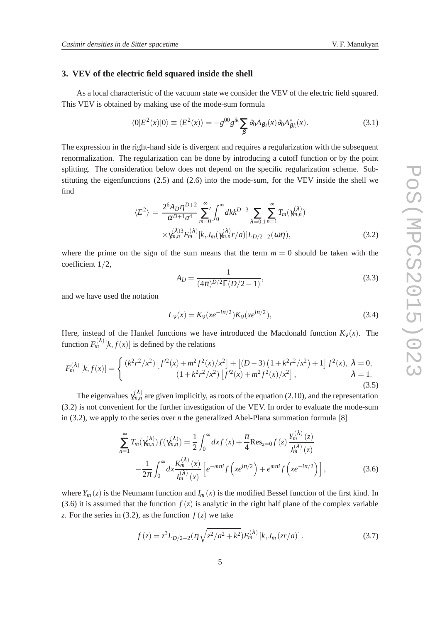#### **3. VEV of the electric field squared inside the shell**

As a local characteristic of the vacuum state we consider the VEV of the electric field squared. This VEV is obtained by making use of the mode-sum formula

$$
\langle 0|E^2(x)|0\rangle \equiv \langle E^2(x)\rangle = -g^{00}g^{ik}\sum_{\beta}\partial_0A_{\beta i}(x)\partial_0A_{\beta k}^*(x). \tag{3.1}
$$

The expression in the right-hand side is divergent and requires a regularization with the subsequent renormalization. The regularization can be done by introducing a cutoff function or by the point splitting. The consideration below does not depend on the specific regularization scheme. Substituting the eigenfunctions (2.5) and (2.6) into the mode-sum, for the VEV inside the shell we find

$$
\langle E^{2} \rangle = \frac{2^{6} A_{D} \eta^{D+2}}{\alpha^{D+1} a^{4}} \sum_{m=0}^{\infty} \int_{0}^{\infty} dk k^{D-3} \sum_{\lambda=0,1}^{\infty} \sum_{n=1}^{\infty} T_{m}(\gamma_{m,n}^{(\lambda)}) \times \gamma_{m,n}^{(\lambda)3} F_{m}^{(\lambda)}[k, J_{m}(\gamma_{m,n}^{(\lambda)} r/a)] L_{D/2-2}(\omega \eta), \qquad (3.2)
$$

where the prime on the sign of the sum means that the term  $m = 0$  should be taken with the coefficient 1/2,

$$
A_D = \frac{1}{(4\pi)^{D/2}\Gamma(D/2 - 1)},
$$
\n(3.3)

and we have used the notation

$$
L_{\nu}(x) = K_{\nu}(xe^{-i\pi/2})K_{\nu}(xe^{i\pi/2}),
$$
\n(3.4)

 $(1)$ 

Here, instead of the Hankel functions we have introduced the Macdonald function  $K_v(x)$ . The function  $F_m^{(\lambda)}[k, f(x)]$  is defined by the relations

$$
F_m^{(\lambda)}[k, f(x)] = \begin{cases} (k^2 r^2 / x^2) \left[ f'^2(x) + m^2 f^2(x) / x^2 \right] + \left[ (D - 3) \left( 1 + k^2 r^2 / x^2 \right) + 1 \right] f^2(x), & \lambda = 0, \\ (1 + k^2 r^2 / x^2) \left[ f'^2(x) + m^2 f^2(x) / x^2 \right], & \lambda = 1. \end{cases}
$$
\n(3.5)

The eigenvalues  $\gamma_{m,n}^{(\lambda)}$  are given implicitly, as roots of the equation (2.10), and the representation (3.2) is not convenient for the further investigation of the VEV. In order to evaluate the mode-sum in (3.2), we apply to the series over *n* the generalized Abel-Plana summation formula [8]

$$
\sum_{n=1}^{\infty} T_m(\gamma_{m,n}^{(\lambda)}) f(\gamma_{m,n}^{(\lambda)}) = \frac{1}{2} \int_0^{\infty} dx f(x) + \frac{\pi}{4} \text{Res}_{z=0} f(z) \frac{Y_m^{(\lambda)}(z)}{J_m^{(\lambda)}(z)}
$$

$$
- \frac{1}{2\pi} \int_0^{\infty} dx \frac{K_m^{(\lambda)}(x)}{I_m^{(\lambda)}(x)} \left[ e^{-m\pi i} f\left( xe^{i\pi/2} \right) + e^{m\pi i} f\left( xe^{-i\pi/2} \right) \right],
$$
(3.6)

where  $Y_m(z)$  is the Neumann function and  $I_m(x)$  is the modified Bessel function of the first kind. In (3.6) it is assumed that the function  $f(z)$  is analytic in the right half plane of the complex variable *z*. For the series in (3.2), as the function  $f(z)$  we take

$$
f(z) = z3LD/2-2(\eta \sqrt{z2/a2 + k2})Fm(\lambda) [k, Jm(zr/a)].
$$
 (3.7)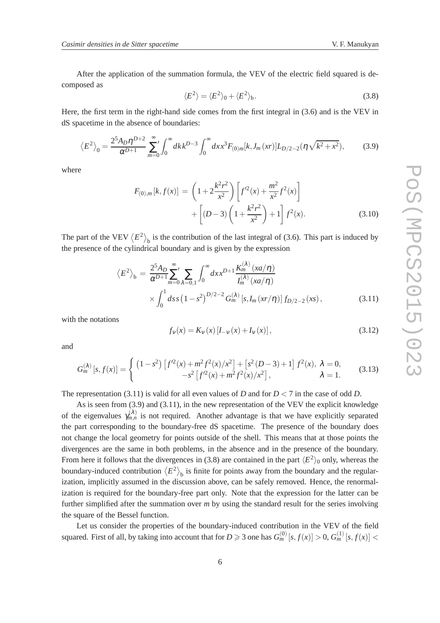After the application of the summation formula, the VEV of the electric field squared is decomposed as

$$
\langle E^2 \rangle = \langle E^2 \rangle_0 + \langle E^2 \rangle_b. \tag{3.8}
$$

Here, the first term in the right-hand side comes from the first integral in (3.6) and is the VEV in dS spacetime in the absence of boundaries:

$$
\langle E^2 \rangle_0 = \frac{2^5 A_D \eta^{D+2}}{\alpha^{D+1}} \sum_{m=0}^{\infty} \int_0^{\infty} dk \, k^{D-3} \int_0^{\infty} dx \, x^3 F_{(0)m}[k, J_m(xr)] L_{D/2-2}(\eta \sqrt{k^2 + x^2}),\tag{3.9}
$$

where

$$
F_{(0),m}[k,f(x)] = \left(1 + 2\frac{k^2r^2}{x^2}\right) \left[f'^2(x) + \frac{m^2}{x^2}f^2(x)\right] + \left[(D-3)\left(1 + \frac{k^2r^2}{x^2}\right) + 1\right]f^2(x).
$$
 (3.10)

The part of the VEV  $\langle E^2 \rangle$ <sub>b</sub> is the contribution of the last integral of (3.6). This part is induced by the presence of the cylindrical boundary and is given by the expression

$$
\langle E^{2} \rangle_{b} = \frac{2^{5} A_{D}}{\alpha^{D+1}} \sum_{m=0}^{\infty} \sum_{\lambda=0,1} \int_{0}^{\infty} dx x^{D+1} \frac{K_{m}^{(\lambda)} (x a/\eta)}{I_{m}^{(\lambda)} (x a/\eta)} \times \int_{0}^{1} ds s (1-s^{2})^{D/2-2} G_{m}^{(\lambda)} [s, I_{m} (xr/\eta)] f_{D/2-2} (xs), \qquad (3.11)
$$

with the notations

$$
f_{V}(x) = K_{V}(x) [I_{-V}(x) + I_{V}(x)],
$$
\n(3.12)

and

$$
G_m^{(\lambda)}[s, f(x)] = \begin{cases} (1 - s^2) \left[ f'^2(x) + m^2 f^2(x) / x^2 \right] + \left[ s^2 (D - 3) + 1 \right] f^2(x), & \lambda = 0, \\ -s^2 \left[ f'^2(x) + m^2 f^2(x) / x^2 \right], & \lambda = 1. \end{cases}
$$
(3.13)

The representation (3.11) is valid for all even values of *D* and for  $D < 7$  in the case of odd *D*.

As is seen from (3.9) and (3.11), in the new representation of the VEV the explicit knowledge of the eigenvalues  $\gamma_{m,n}^{(\lambda)}$  is not required. Another advantage is that we have explicitly separated the part corresponding to the boundary-free dS spacetime. The presence of the boundary does not change the local geometry for points outside of the shell. This means that at those points the divergences are the same in both problems, in the absence and in the presence of the boundary. From here it follows that the divergences in (3.8) are contained in the part  $\langle E^2 \rangle_0$  only, whereas the boundary-induced contribution  $\langle E^2 \rangle$ <sub>b</sub> is finite for points away from the boundary and the regularization, implicitly assumed in the discussion above, can be safely removed. Hence, the renormalization is required for the boundary-free part only. Note that the expression for the latter can be further simplified after the summation over *m* by using the standard result for the series involving the square of the Bessel function.

Let us consider the properties of the boundary-induced contribution in the VEV of the field squared. First of all, by taking into account that for  $D \geq 3$  one has  $G_m^{(0)}[s, f(x)] > 0$ ,  $G_m^{(1)}[s, f(x)] <$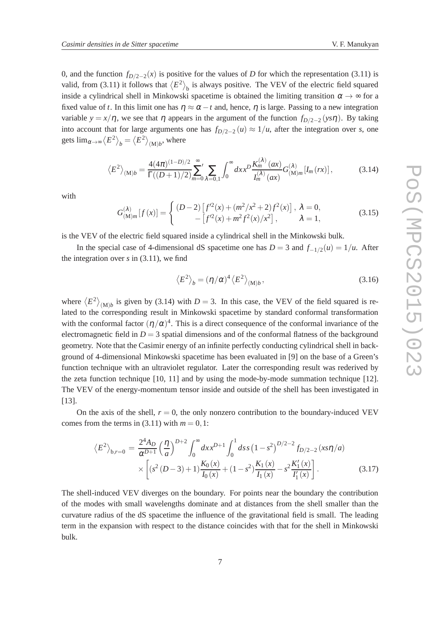0, and the function  $f_{D/2-2}(x)$  is positive for the values of *D* for which the representation (3.11) is valid, from (3.11) it follows that  $\langle E^2 \rangle$ <sub>b</sub> is always positive. The VEV of the electric field squared inside a cylindrical shell in Minkowski spacetime is obtained the limiting transition  $\alpha \to \infty$  for a fixed value of *t*. In this limit one has  $\eta \approx \alpha - t$  and, hence,  $\eta$  is large. Passing to a new integration variable  $y = x/\eta$ , we see that  $\eta$  appears in the argument of the function  $f_{D/2-2}(y \in \eta)$ . By taking into account that for large arguments one has  $f_{D/2-2}(u) \approx 1/u$ , after the integration over *s*, one gets  $\lim_{\alpha\to\infty}\left\langle E^2 \right\rangle_{b} = \left\langle E^2 \right\rangle_{(\mathrm{M})b}$ , where

$$
\langle E^2 \rangle_{(M)b} = \frac{4(4\pi)^{(1-D)/2}}{\Gamma((D+1)/2)} \sum_{m=0}^{\infty} \sum_{\lambda=0,1} \int_0^{\infty} dx x^D \frac{K_m^{(\lambda)}(ax)}{I_m^{(\lambda)}(ax)} G_{(M)m}^{(\lambda)}[I_m(rx)], \tag{3.14}
$$

with

$$
G_{(M)m}^{(\lambda)}[f(x)] = \begin{cases} (D-2)\left[f'^2(x) + (m^2/x^2 + 2)f^2(x)\right], \ \lambda = 0, \\ -\left[f'^2(x) + m^2f^2(x)/x^2\right], \quad \lambda = 1, \end{cases}
$$
(3.15)

is the VEV of the electric field squared inside a cylindrical shell in the Minkowski bulk.

In the special case of 4-dimensional dS spacetime one has  $D = 3$  and  $f_{-1/2}(u) = 1/u$ . After the integration over *s* in (3.11), we find

$$
\left\langle E^2 \right\rangle_b = (\eta/\alpha)^4 \left\langle E^2 \right\rangle_{\text{(M)}b},\tag{3.16}
$$

where  $\langle E^2 \rangle_{(M)b}$  is given by (3.14) with *D* = 3. In this case, the VEV of the field squared is related to the corresponding result in Minkowski spacetime by standard conformal transformation with the conformal factor  $(\eta/\alpha)^4$ . This is a direct consequence of the conformal invariance of the electromagnetic field in  $D = 3$  spatial dimensions and of the conformal flatness of the background geometry. Note that the Casimir energy of an infinite perfectly conducting cylindrical shell in background of 4-dimensional Minkowski spacetime has been evaluated in [9] on the base of a Green's function technique with an ultraviolet regulator. Later the corresponding result was rederived by the zeta function technique [10, 11] and by using the mode-by-mode summation technique [12]. The VEV of the energy-momentum tensor inside and outside of the shell has been investigated in [13].

On the axis of the shell,  $r = 0$ , the only nonzero contribution to the boundary-induced VEV comes from the terms in  $(3.11)$  with  $m = 0, 1$ :

$$
\langle E^{2} \rangle_{b,r=0} = \frac{2^{4} A_{D}}{\alpha^{D+1}} \left(\frac{\eta}{a}\right)^{D+2} \int_{0}^{\infty} dx x^{D+1} \int_{0}^{1} ds s (1-s^{2})^{D/2-2} f_{D/2-2}(xs\eta/a)
$$

$$
\times \left[ (s^{2} (D-3) + 1) \frac{K_{0}(x)}{I_{0}(x)} + (1-s^{2}) \frac{K_{1}(x)}{I_{1}(x)} - s^{2} \frac{K_{1}'(x)}{I_{1}'(x)} \right].
$$
(3.17)

The shell-induced VEV diverges on the boundary. For points near the boundary the contribution of the modes with small wavelengths dominate and at distances from the shell smaller than the curvature radius of the dS spacetime the influence of the gravitational field is small. The leading term in the expansion with respect to the distance coincides with that for the shell in Minkowski bulk.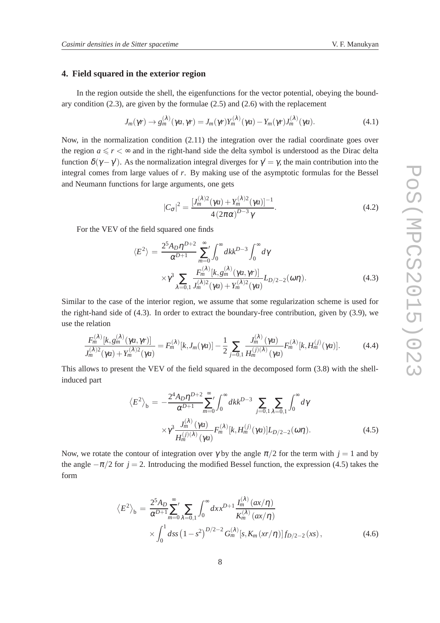### **4. Field squared in the exterior region**

In the region outside the shell, the eigenfunctions for the vector potential, obeying the boundary condition (2.3), are given by the formulae (2.5) and (2.6) with the replacement

$$
J_m(\gamma r) \to g_m^{(\lambda)}(\gamma a, \gamma r) = J_m(\gamma r) Y_m^{(\lambda)}(\gamma a) - Y_m(\gamma r) J_m^{(\lambda)}(\gamma a). \tag{4.1}
$$

Now, in the normalization condition (2.11) the integration over the radial coordinate goes over the region  $a \le r < \infty$  and in the right-hand side the delta symbol is understood as the Dirac delta function  $\delta(\gamma - \gamma')$ . As the normalization integral diverges for  $\gamma' = \gamma$ , the main contribution into the integral comes from large values of *r*. By making use of the asymptotic formulas for the Bessel and Neumann functions for large arguments, one gets

$$
|C_{\sigma}|^{2} = \frac{[J_{m}^{(\lambda)2}(\gamma a) + Y_{m}^{(\lambda)2}(\gamma a)]^{-1}}{4(2\pi\alpha)^{D-3}\gamma}.
$$
\n(4.2)

For the VEV of the field squared one finds

$$
\langle E^2 \rangle = \frac{2^5 A_D \eta^{D+2}}{\alpha^{D+1}} \sum_{m=0}^{\infty} \int_0^{\infty} dk k^{D-3} \int_0^{\infty} d\gamma
$$
  
 
$$
\times \gamma^3 \sum_{\lambda=0,1} \frac{F_m^{(\lambda)}[k, g_m^{(\lambda)}(\gamma a, \gamma r)]}{J_m^{(\lambda)2}(\gamma a) + Y_m^{(\lambda)2}(\gamma a)} L_{D/2-2}(\omega \eta).
$$
 (4.3)

Similar to the case of the interior region, we assume that some regularization scheme is used for the right-hand side of (4.3). In order to extract the boundary-free contribution, given by (3.9), we use the relation

$$
\frac{F_m^{(\lambda)}[k,g_m^{(\lambda)}(\gamma a,\gamma r)]}{J_m^{(\lambda)2}(\gamma a)+Y_m^{(\lambda)2}(\gamma a)}=F_m^{(\lambda)}[k,J_m(\gamma a)]-\frac{1}{2}\sum_{j=0,1}\frac{J_m^{(\lambda)}(\gamma a)}{H_m^{(j)}(\lambda)}F_m^{(\lambda)}[k,H_m^{(j)}(\gamma a)].\hspace{1cm}(4.4)
$$

This allows to present the VEV of the field squared in the decomposed form (3.8) with the shellinduced part

$$
\langle E^2 \rangle_b = -\frac{2^4 A_D \eta^{D+2}}{\alpha^{D+1}} \sum_{m=0}^{\infty} \int_0^{\infty} dk k^{D-3} \sum_{j=0,1} \sum_{\lambda=0,1} \int_0^{\infty} d\gamma
$$
  
 
$$
\times \gamma^3 \frac{J_m^{(\lambda)}(\gamma a)}{H_m^{(j)(\lambda)}(\gamma a)} F_m^{(\lambda)}[k, H_m^{(j)}(\gamma a)] L_{D/2-2}(\omega \eta).
$$
 (4.5)

Now, we rotate the contour of integration over  $\gamma$  by the angle  $\pi/2$  for the term with  $j = 1$  and by the angle  $-\pi/2$  for *j* = 2. Introducing the modified Bessel function, the expression (4.5) takes the form

$$
\langle E^{2} \rangle_{b} = \frac{2^{5} A_{D}}{\alpha^{D+1}} \sum_{m=0}^{\infty} \sum_{\lambda=0,1} \int_{0}^{\infty} dx x^{D+1} \frac{I_{m}^{(\lambda)}(ax/\eta)}{K_{m}^{(\lambda)}(ax/\eta)} \times \int_{0}^{1} ds s (1-s^{2})^{D/2-2} G_{m}^{(\lambda)}[s, K_{m}(xr/\eta)] f_{D/2-2}(xs), \qquad (4.6)
$$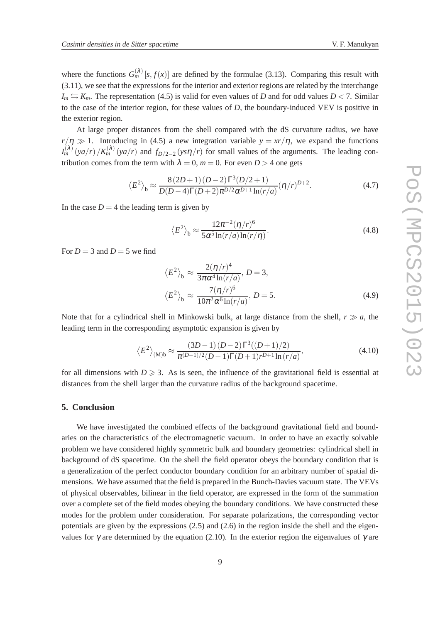where the functions  $G_m^{(\lambda)}[s, f(x)]$  are defined by the formulae (3.13). Comparing this result with (3.11), we see that the expressions for the interior and exterior regions are related by the interchange  $I_m \leftrightarrows K_m$ . The representation (4.5) is valid for even values of *D* and for odd values  $D < 7$ . Similar to the case of the interior region, for these values of *D*, the boundary-induced VEV is positive in the exterior region.

At large proper distances from the shell compared with the dS curvature radius, we have  $r/\eta \gg 1$ . Introducing in (4.5) a new integration variable  $y = xr/\eta$ , we expand the functions  $I_m^{(\lambda)}(ya/r)/K_m^{(\lambda)}(ya/r)$  and  $f_{D/2-2}(ys\eta/r)$  for small values of the arguments. The leading contribution comes from the term with  $\lambda = 0$ ,  $m = 0$ . For even  $D > 4$  one gets

$$
\langle E^2 \rangle_b \approx \frac{8(2D+1)(D-2)\Gamma^3(D/2+1)}{D(D-4)\Gamma(D+2)\pi^{D/2}\alpha^{D+1}\ln(r/a)} (\eta/r)^{D+2}.
$$
 (4.7)

In the case  $D = 4$  the leading term is given by

$$
\langle E^2 \rangle_b \approx \frac{12\pi^{-2} (\eta/r)^6}{5\alpha^5 \ln(r/a)\ln(r/\eta)}.
$$
\n(4.8)

For  $D = 3$  and  $D = 5$  we find

$$
\langle E^2 \rangle_b \approx \frac{2(\eta/r)^4}{3\pi\alpha^4 \ln(r/a)}, D = 3,
$$
  

$$
\langle E^2 \rangle_b \approx \frac{7(\eta/r)^6}{10\pi^2\alpha^6 \ln(r/a)}, D = 5.
$$
 (4.9)

Note that for a cylindrical shell in Minkowski bulk, at large distance from the shell,  $r \gg a$ , the leading term in the corresponding asymptotic expansion is given by

$$
\langle E^2 \rangle_{\text{(M)b}} \approx \frac{(3D-1)(D-2)\Gamma^3((D+1)/2)}{\pi^{(D-1)/2}(D-1)\Gamma(D+1)r^{D+1}\ln(r/a)},\tag{4.10}
$$

for all dimensions with  $D \ge 3$ . As is seen, the influence of the gravitational field is essential at distances from the shell larger than the curvature radius of the background spacetime.

#### **5. Conclusion**

We have investigated the combined effects of the background gravitational field and boundaries on the characteristics of the electromagnetic vacuum. In order to have an exactly solvable problem we have considered highly symmetric bulk and boundary geometries: cylindrical shell in background of dS spacetime. On the shell the field operator obeys the boundary condition that is a generalization of the perfect conductor boundary condition for an arbitrary number of spatial dimensions. We have assumed that the field is prepared in the Bunch-Davies vacuum state. The VEVs of physical observables, bilinear in the field operator, are expressed in the form of the summation over a complete set of the field modes obeying the boundary conditions. We have constructed these modes for the problem under consideration. For separate polarizations, the corresponding vector potentials are given by the expressions (2.5) and (2.6) in the region inside the shell and the eigenvalues for  $\gamma$  are determined by the equation (2.10). In the exterior region the eigenvalues of  $\gamma$  are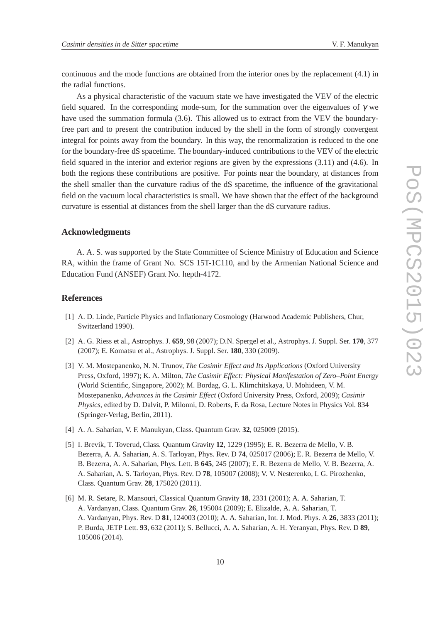continuous and the mode functions are obtained from the interior ones by the replacement (4.1) in the radial functions.

As a physical characteristic of the vacuum state we have investigated the VEV of the electric field squared. In the corresponding mode-sum, for the summation over the eigenvalues of  $\gamma$  we have used the summation formula (3.6). This allowed us to extract from the VEV the boundaryfree part and to present the contribution induced by the shell in the form of strongly convergent integral for points away from the boundary. In this way, the renormalization is reduced to the one for the boundary-free dS spacetime. The boundary-induced contributions to the VEV of the electric field squared in the interior and exterior regions are given by the expressions (3.11) and (4.6). In both the regions these contributions are positive. For points near the boundary, at distances from the shell smaller than the curvature radius of the dS spacetime, the influence of the gravitational field on the vacuum local characteristics is small. We have shown that the effect of the background curvature is essential at distances from the shell larger than the dS curvature radius.

#### **Acknowledgments**

A. A. S. was supported by the State Committee of Science Ministry of Education and Science RA, within the frame of Grant No. SCS 15T-1C110, and by the Armenian National Science and Education Fund (ANSEF) Grant No. hepth-4172.

#### **References**

- [1] A. D. Linde, Particle Physics and Inflationary Cosmology (Harwood Academic Publishers, Chur, Switzerland 1990).
- [2] A. G. Riess et al., Astrophys. J. **659**, 98 (2007); D.N. Spergel et al., Astrophys. J. Suppl. Ser. **170**, 377 (2007); E. Komatsu et al., Astrophys. J. Suppl. Ser. **180**, 330 (2009).
- [3] V. M. Mostepanenko, N. N. Trunov, *The Casimir Effect and Its Applications* (Oxford University Press, Oxford, 1997); K. A. Milton, *The Casimir Effect: Physical Manifestation of Zero–Point Energy* (World Scientific, Singapore, 2002); M. Bordag, G. L. Klimchitskaya, U. Mohideen, V. M. Mostepanenko, *Advances in the Casimir Effect* (Oxford University Press, Oxford, 2009); *Casimir Physics*, edited by D. Dalvit, P. Milonni, D. Roberts, F. da Rosa, Lecture Notes in Physics Vol. 834 (Springer-Verlag, Berlin, 2011).
- [4] A. A. Saharian, V. F. Manukyan, Class. Quantum Grav. **32**, 025009 (2015).
- [5] I. Brevik, T. Toverud, Class. Quantum Gravity **12**, 1229 (1995); E. R. Bezerra de Mello, V. B. Bezerra, A. A. Saharian, A. S. Tarloyan, Phys. Rev. D **74**, 025017 (2006); E. R. Bezerra de Mello, V. B. Bezerra, A. A. Saharian, Phys. Lett. B **645**, 245 (2007); E. R. Bezerra de Mello, V. B. Bezerra, A. A. Saharian, A. S. Tarloyan, Phys. Rev. D **78**, 105007 (2008); V. V. Nesterenko, I. G. Pirozhenko, Class. Quantum Grav. **28**, 175020 (2011).
- [6] M. R. Setare, R. Mansouri, Classical Quantum Gravity **18**, 2331 (2001); A. A. Saharian, T. A. Vardanyan, Class. Quantum Grav. **26**, 195004 (2009); E. Elizalde, A. A. Saharian, T. A. Vardanyan, Phys. Rev. D **81**, 124003 (2010); A. A. Saharian, Int. J. Mod. Phys. A **26**, 3833 (2011); P. Burda, JETP Lett. **93**, 632 (2011); S. Bellucci, A. A. Saharian, A. H. Yeranyan, Phys. Rev. D **89**, 105006 (2014).